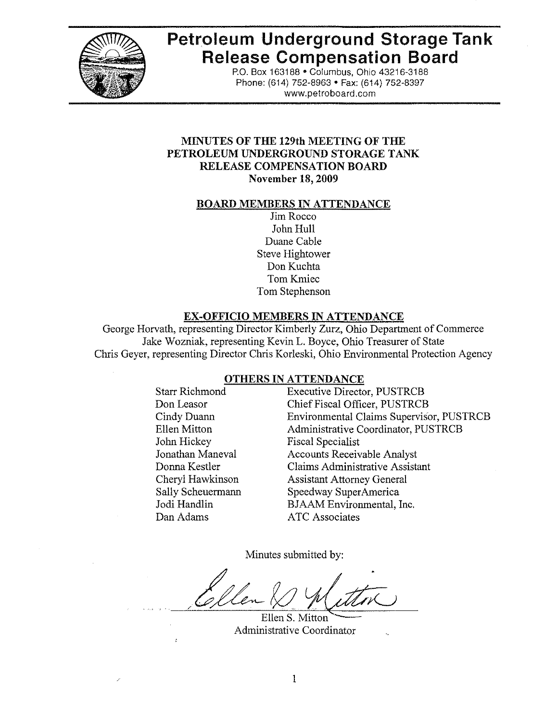

# Petroleum Underground Storage Tank **Release Compensation Board**

P.O. Box 163188 . Columbus, Ohio 43216-3188 Phone: (614) 752-8963 · Fax: (614) 752-8397 www.petroboard.com

## MINUTES OF THE 129th MEETING OF THE PETROLEUM UNDERGROUND STORAGE TANK **RELEASE COMPENSATION BOARD November 18, 2009**

#### **BOARD MEMBERS IN ATTENDANCE**

Jim Rocco John Hull Duane Cable **Steve Hightower** Don Kuchta Tom Kmiec Tom Stephenson

## **EX-OFFICIO MEMBERS IN ATTENDANCE**

George Horvath, representing Director Kimberly Zurz, Ohio Department of Commerce Jake Wozniak, representing Kevin L. Boyce, Ohio Treasurer of State Chris Geyer, representing Director Chris Korleski, Ohio Environmental Protection Agency

## OTHERS IN ATTENDANCE

**Starr Richmond** Don Leasor Cindy Duann Ellen Mitton John Hickey Jonathan Maneval Donna Kestler Cheryl Hawkinson Sally Scheuermann Jodi Handlin Dan Adams

**Executive Director, PUSTRCB** Chief Fiscal Officer, PUSTRCB **Environmental Claims Supervisor, PUSTRCB** Administrative Coordinator, PUSTRCB **Fiscal Specialist Accounts Receivable Analyst Claims Administrative Assistant Assistant Attorney General** Speedway SuperAmerica BJAAM Environmental, Inc. **ATC** Associates

Minutes submitted by:

Ellen S. Mitton Administrative Coordinator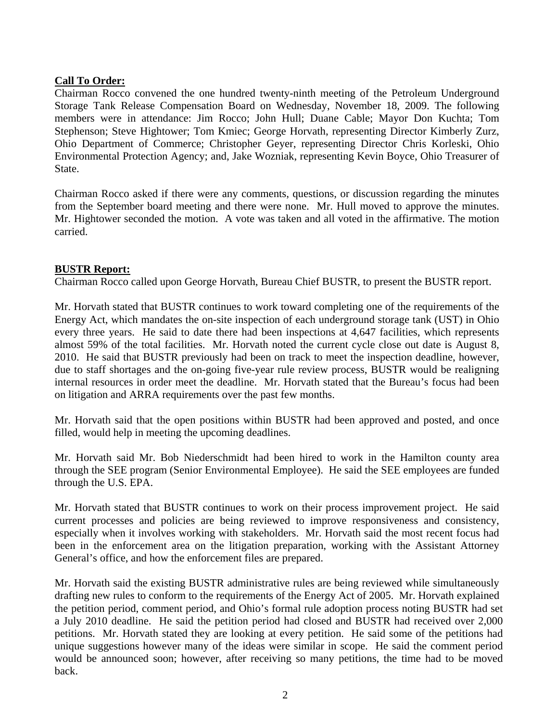## **Call To Order:**

Chairman Rocco convened the one hundred twenty-ninth meeting of the Petroleum Underground Storage Tank Release Compensation Board on Wednesday, November 18, 2009. The following members were in attendance: Jim Rocco; John Hull; Duane Cable; Mayor Don Kuchta; Tom Stephenson; Steve Hightower; Tom Kmiec; George Horvath, representing Director Kimberly Zurz, Ohio Department of Commerce; Christopher Geyer, representing Director Chris Korleski, Ohio Environmental Protection Agency; and, Jake Wozniak, representing Kevin Boyce, Ohio Treasurer of State.

Chairman Rocco asked if there were any comments, questions, or discussion regarding the minutes from the September board meeting and there were none. Mr. Hull moved to approve the minutes. Mr. Hightower seconded the motion. A vote was taken and all voted in the affirmative. The motion carried.

## **BUSTR Report:**

Chairman Rocco called upon George Horvath, Bureau Chief BUSTR, to present the BUSTR report.

Mr. Horvath stated that BUSTR continues to work toward completing one of the requirements of the Energy Act, which mandates the on-site inspection of each underground storage tank (UST) in Ohio every three years. He said to date there had been inspections at 4,647 facilities, which represents almost 59% of the total facilities. Mr. Horvath noted the current cycle close out date is August 8, 2010. He said that BUSTR previously had been on track to meet the inspection deadline, however, due to staff shortages and the on-going five-year rule review process, BUSTR would be realigning internal resources in order meet the deadline. Mr. Horvath stated that the Bureau's focus had been on litigation and ARRA requirements over the past few months.

Mr. Horvath said that the open positions within BUSTR had been approved and posted, and once filled, would help in meeting the upcoming deadlines.

Mr. Horvath said Mr. Bob Niederschmidt had been hired to work in the Hamilton county area through the SEE program (Senior Environmental Employee). He said the SEE employees are funded through the U.S. EPA.

Mr. Horvath stated that BUSTR continues to work on their process improvement project. He said current processes and policies are being reviewed to improve responsiveness and consistency, especially when it involves working with stakeholders. Mr. Horvath said the most recent focus had been in the enforcement area on the litigation preparation, working with the Assistant Attorney General's office, and how the enforcement files are prepared.

Mr. Horvath said the existing BUSTR administrative rules are being reviewed while simultaneously drafting new rules to conform to the requirements of the Energy Act of 2005. Mr. Horvath explained the petition period, comment period, and Ohio's formal rule adoption process noting BUSTR had set a July 2010 deadline. He said the petition period had closed and BUSTR had received over 2,000 petitions. Mr. Horvath stated they are looking at every petition. He said some of the petitions had unique suggestions however many of the ideas were similar in scope. He said the comment period would be announced soon; however, after receiving so many petitions, the time had to be moved back.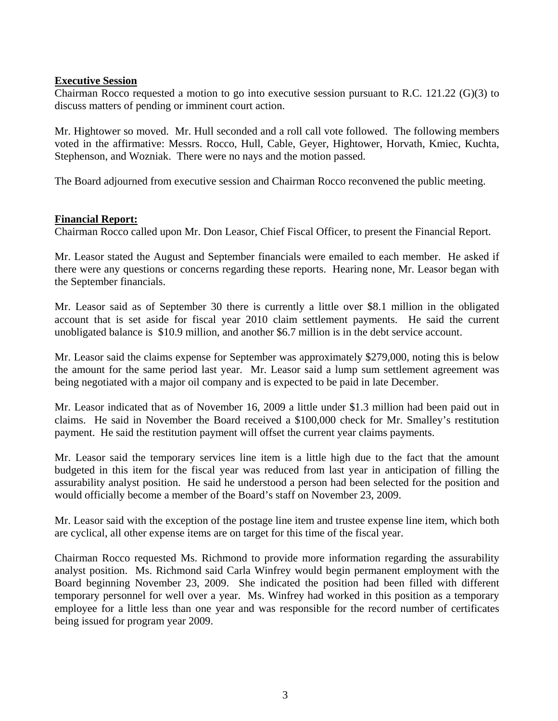#### **Executive Session**

Chairman Rocco requested a motion to go into executive session pursuant to R.C. 121.22 (G)(3) to discuss matters of pending or imminent court action.

voted in the affirmative: Messrs. Rocco, Hull, Cable, Geyer, Hightower, Horvath, Kmiec, Kuchta, Stephenson, and Wozniak. There were no nays and the motion passed. Mr. Hightower so moved. Mr. Hull seconded and a roll call vote followed. The following members

The Board adjourned from executive session and Chairman Rocco reconvened the public meeting.

## **Financial Report:**

Chairman Rocco called upon Mr. Don Leasor, Chief Fiscal Officer, to present the Financial Report.

there were any questions or concerns regarding these reports. Hearing none, Mr. Leasor began with the September financials. Mr. Leasor stated the August and September financials were emailed to each member. He asked if

account that is set aside for fiscal year 2010 claim settlement payments. He said the current nobligated balance is \$10.9 million, and another \$6.7 million is in the debt service account. u Mr. Leasor said as of September 30 there is currently a little over \$8.1 million in the obligated

the amount for the same period last year. Mr. Leasor said a lump sum settlement agreement was being negotiated with a major oil company and is expected to be paid in late December. Mr. Leasor said the claims expense for September was approximately \$279,000, noting this is below

payment. He said the restitution payment will offset the current year claims payments. Mr. Leasor indicated that as of November 16, 2009 a little under \$1.3 million had been paid out in claims. He said in November the Board received a \$100,000 check for Mr. Smalley's restitution

assurability analyst position. He said he understood a person had been selected for the position and would officially become a member of the Board's staff on November 23, 2009. Mr. Leasor said the temporary services line item is a little high due to the fact that the amount budgeted in this item for the fiscal year was reduced from last year in anticipation of filling the

Mr. Leasor said with the exception of the postage line item and trustee expense line item, which both are cyclical, all other expense items are on target for this time of the fiscal year.

employee for a little less than one year and was responsible for the record number of certificates being issued for program year 2009. Chairman Rocco requested Ms. Richmond to provide more information regarding the assurability analyst position. Ms. Richmond said Carla Winfrey would begin permanent employment with the Board beginning November 23, 2009. She indicated the position had been filled with different temporary personnel for well over a year. Ms. Winfrey had worked in this position as a temporary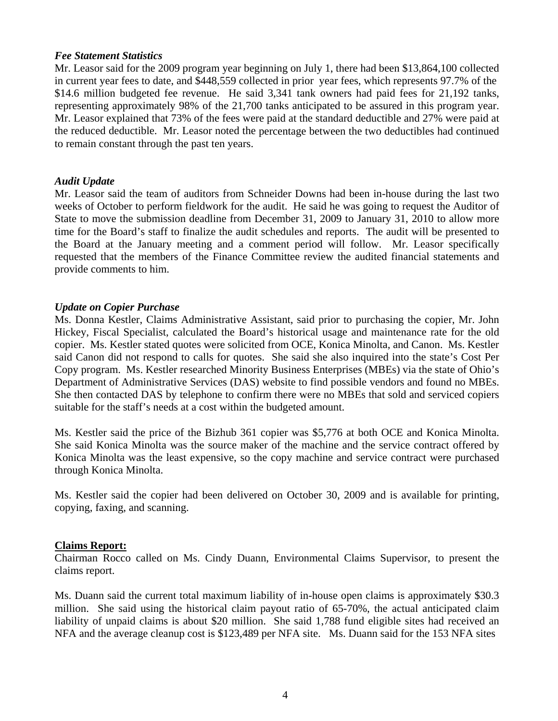#### *Fee Statement Statistics*

the reduced deductible. Mr. Leasor noted the percentage between the two deductibles had continued to remain constant through the past ten years. Mr. Leasor said for the 2009 program year beginning on July 1, there had been \$13,864,100 collected in current year fees to date, and \$448,559 collected in prior year fees, which represents 97.7% of the \$14.6 million budgeted fee revenue. He said 3,341 tank owners had paid fees for 21,192 tanks, representing approximately 98% of the 21,700 tanks anticipated to be assured in this program year. Mr. Leasor explained that 73% of the fees were paid at the standard deductible and 27% were paid at

## *Audit Update*

requested that the members of the Finance Committee review the audited financial statements and provide comments to him. Mr. Leasor said the team of auditors from Schneider Downs had been in-house during the last two weeks of October to perform fieldwork for the audit. He said he was going to request the Auditor of State to move the submission deadline from December 31, 2009 to January 31, 2010 to allow more time for the Board's staff to finalize the audit schedules and reports. The audit will be presented to the Board at the January meeting and a comment period will follow. Mr. Leasor specifically

## *Update on Copier Purchase*

She then contacted DAS by telephone to confirm there were no MBEs that sold and serviced copiers suitable for the staff's needs at a cost within the budgeted amount. Ms. Donna Kestler, Claims Administrative Assistant, said prior to purchasing the copier, Mr. John Hickey, Fiscal Specialist, calculated the Board's historical usage and maintenance rate for the old copier. Ms. Kestler stated quotes were solicited from OCE, Konica Minolta, and Canon. Ms. Kestler said Canon did not respond to calls for quotes. She said she also inquired into the state's Cost Per Copy program. Ms. Kestler researched Minority Business Enterprises (MBEs) via the state of Ohio's Department of Administrative Services (DAS) website to find possible vendors and found no MBEs.

Konica Minolta was the least expensive, so the copy machine and service contract were purchased through Konica Minolta. Ms. Kestler said the price of the Bizhub 361 copier was \$5,776 at both OCE and Konica Minolta. She said Konica Minolta was the source maker of the machine and the service contract offered by

Ms. Kestler said the copier had been delivered on October 30, 2009 and is available for printing, copying, faxing, and scanning.

## **Claims Report:**

Chairman Rocco called on Ms. Cindy Duann, Environmental Claims Supervisor, to present the claims report.

NFA and the average cleanup cost is \$123,489 per NFA site. Ms. Duann said for the 153 NFA sites Ms. Duann said the current total maximum liability of in-house open claims is approximately \$30.3 million. She said using the historical claim payout ratio of 65-70%, the actual anticipated claim liability of unpaid claims is about \$20 million. She said 1,788 fund eligible sites had received an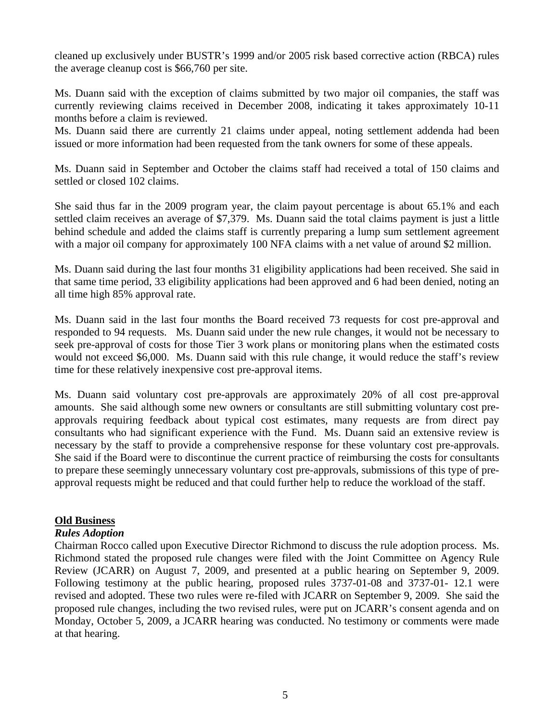cleaned up exclusively under BUSTR's 1999 and/or 2005 risk based corrective action (RBCA) rules the average cleanup cost is \$66,760 per site.

Ms. Duann said with the exception of claims submitted by two major oil companies, the staff was currently reviewing claims received in December 2008, indicating it takes approximately 10-11 months before a claim is reviewed.

Ms. Duann said there are currently 21 claims under appeal, noting settlement addenda had been issued or more information had been requested from the tank owners for some of these appeals.

Ms. Duann said in September and October the claims staff had received a total of 150 claims and settled or closed 102 claims.

She said thus far in the 2009 program year, the claim payout percentage is about 65.1% and each settled claim receives an average of \$7,379. Ms. Duann said the total claims payment is just a little behind schedule and added the claims staff is currently preparing a lump sum settlement agreement with a major oil company for approximately 100 NFA claims with a net value of around \$2 million.

Ms. Duann said during the last four months 31 eligibility applications had been received. She said in that same time period, 33 eligibility applications had been approved and 6 had been denied, noting an all time high 85% approval rate.

Ms. Duann said in the last four months the Board received 73 requests for cost pre-approval and responded to 94 requests. Ms. Duann said under the new rule changes, it would not be necessary to seek pre-approval of costs for those Tier 3 work plans or monitoring plans when the estimated costs would not exceed \$6,000. Ms. Duann said with this rule change, it would reduce the staff's review time for these relatively inexpensive cost pre-approval items.

Ms. Duann said voluntary cost pre-approvals are approximately 20% of all cost pre-approval amounts. She said although some new owners or consultants are still submitting voluntary cost preapprovals requiring feedback about typical cost estimates, many requests are from direct pay consultants who had significant experience with the Fund. Ms. Duann said an extensive review is necessary by the staff to provide a comprehensive response for these voluntary cost pre-approvals. She said if the Board were to discontinue the current practice of reimbursing the costs for consultants to prepare these seemingly unnecessary voluntary cost pre-approvals, submissions of this type of preapproval requests might be reduced and that could further help to reduce the workload of the staff.

## **Old Business**

## *Rules Adoption*

Chairman Rocco called upon Executive Director Richmond to discuss the rule adoption process. Ms. Richmond stated the proposed rule changes were filed with the Joint Committee on Agency Rule Review (JCARR) on August 7, 2009, and presented at a public hearing on September 9, 2009. Following testimony at the public hearing, proposed rules 3737-01-08 and 3737-01- 12.1 were revised and adopted. These two rules were re-filed with JCARR on September 9, 2009. She said the proposed rule changes, including the two revised rules, were put on JCARR's consent agenda and on Monday, October 5, 2009, a JCARR hearing was conducted. No testimony or comments were made at that hearing.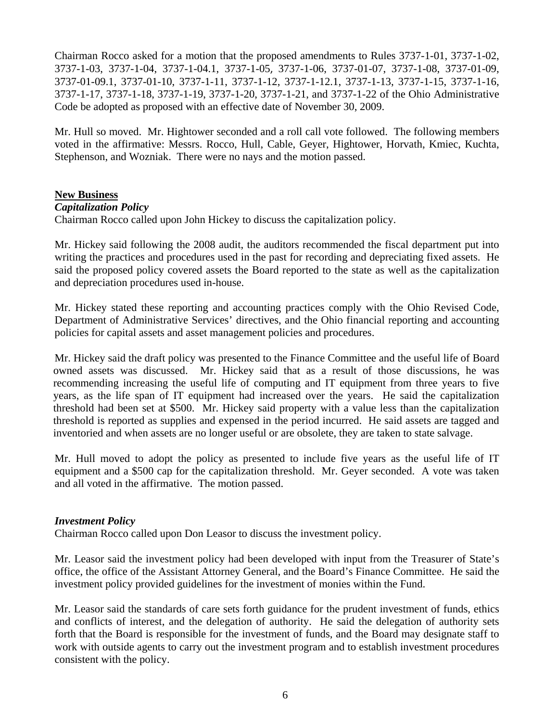Chairman Rocco asked for a motion that the proposed amendments to Rules 3737-1-01, 3737-1-02, 3737-1-03, 3737-1-04, 3737-1-04.1, 3737-1-05, 3737-1-06, 3737-01-07, 3737-1-08, 3737-01-09, 3737-01-09.1, 3737-01-10, 3737-1-11, 3737-1-12, 3737-1-12.1, 3737-1-13, 3737-1-15, 3737-1-16, 3737-1-17, 3737-1-18, 3737-1-19, 3737-1-20, 3737-1-21, and 3737-1-22 of the Ohio Administrative Code be adopted as proposed with an effective date of November 30, 2009.

Stephenson, and Wozniak. There were no nays and the motion passed. Mr. Hull so moved. Mr. Hightower seconded and a roll call vote followed. The following members voted in the affirmative: Messrs. Rocco, Hull, Cable, Geyer, Hightower, Horvath, Kmiec, Kuchta,

## **New Business**

## *Capitalization Policy*

Chairman Rocco called upon John Hickey to discuss the capitalization policy.

Mr. Hickey said following the 2008 audit, the auditors recommended the fiscal department put into writing the practices and procedures used in the past for recording and depreciating fixed assets. He said the proposed policy covered assets the Board reported to the state as well as the capitalization and depreciation procedures used in-house.

Mr. Hickey stated these reporting and accounting practices comply with the Ohio Revised Code, Department of Administrative Services' directives, and the Ohio financial reporting and accounting policies for capital assets and asset management policies and procedures.

Mr. Hickey said the draft policy was presented to the Finance Committee and the useful life of Board owned assets was discussed. Mr. Hickey said that as a result of those discussions, he was recommending increasing the useful life of computing and IT equipment from three years to five years, as the life span of IT equipment had increased over the years. He said the capitalization threshold had been set at \$500. Mr. Hickey said property with a value less than the capitalization threshold is reported as supplies and expensed in the period incurred. He said assets are tagged and inventoried and when assets are no longer useful or are obsolete, they are taken to state salvage.

Mr. Hull moved to adopt the policy as presented to include five years as the useful life of IT equipment and a \$500 cap for the capitalization threshold. Mr. Geyer seconded. A vote was taken and all voted in the affirmative. The motion passed.

# *Investment Policy*

Chairman Rocco called upon Don Leasor to discuss the investment policy.

Mr. Leasor said the investment policy had been developed with input from the Treasurer of State's office, the office of the Assistant Attorney General, and the Board's Finance Committee. He said the investment policy provided guidelines for the investment of monies within the Fund.

Mr. Leasor said the standards of care sets forth guidance for the prudent investment of funds, ethics and conflicts of interest, and the delegation of authority. He said the delegation of authority sets forth that the Board is responsible for the investment of funds, and the Board may designate staff to work with outside agents to carry out the investment program and to establish investment procedures consistent with the policy.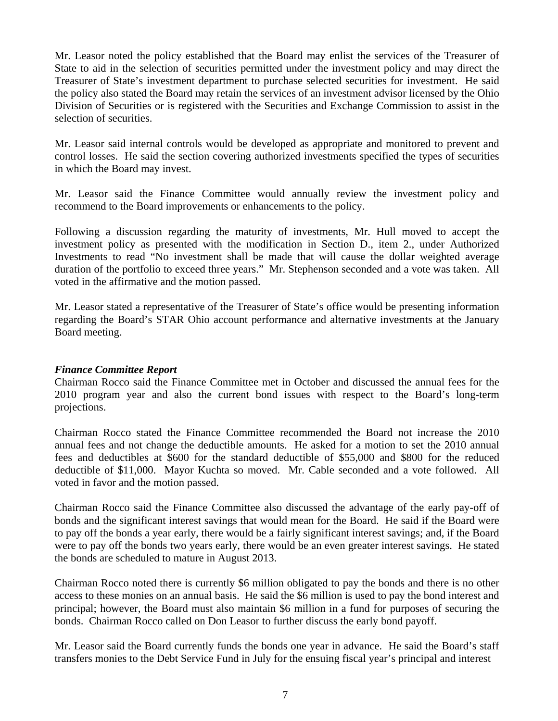Mr. Leasor noted the policy established that the Board may enlist the services of the Treasurer of State to aid in the selection of securities permitted under the investment policy and may direct the Treasurer of State's investment department to purchase selected securities for investment. He said the policy also stated the Board may retain the services of an investment advisor licensed by the Ohio Division of Securities or is registered with the Securities and Exchange Commission to assist in the selection of securities.

Mr. Leasor said internal controls would be developed as appropriate and monitored to prevent and control losses. He said the section covering authorized investments specified the types of securities in which the Board may invest.

Mr. Leasor said the Finance Committee would annually review the investment policy and recommend to the Board improvements or enhancements to the policy.

Following a discussion regarding the maturity of investments, Mr. Hull moved to accept the investment policy as presented with the modification in Section D., item 2., under Authorized Investments to read "No investment shall be made that will cause the dollar weighted average duration of the portfolio to exceed three years." Mr. Stephenson seconded and a vote was taken. All voted in the affirmative and the motion passed.

Mr. Leasor stated a representative of the Treasurer of State's office would be presenting information regarding the Board's STAR Ohio account performance and alternative investments at the January Board meeting.

## *Finance Committee Report*

Chairman Rocco said the Finance Committee met in October and discussed the annual fees for the 2010 program year and also the current bond issues with respect to the Board's long-term projections.

Chairman Rocco stated the Finance Committee recommended the Board not increase the 2010 annual fees and not change the deductible amounts. He asked for a motion to set the 2010 annual fees and deductibles at \$600 for the standard deductible of \$55,000 and \$800 for the reduced deductible of \$11,000. Mayor Kuchta so moved. Mr. Cable seconded and a vote followed. All voted in favor and the motion passed.

Chairman Rocco said the Finance Committee also discussed the advantage of the early pay-off of bonds and the significant interest savings that would mean for the Board. He said if the Board were to pay off the bonds a year early, there would be a fairly significant interest savings; and, if the Board were to pay off the bonds two years early, there would be an even greater interest savings. He stated the bonds are scheduled to mature in August 2013.

Chairman Rocco noted there is currently \$6 million obligated to pay the bonds and there is no other access to these monies on an annual basis. He said the \$6 million is used to pay the bond interest and principal; however, the Board must also maintain \$6 million in a fund for purposes of securing the bonds. Chairman Rocco called on Don Leasor to further discuss the early bond payoff.

Mr. Leasor said the Board currently funds the bonds one year in advance. He said the Board's staff transfers monies to the Debt Service Fund in July for the ensuing fiscal year's principal and interest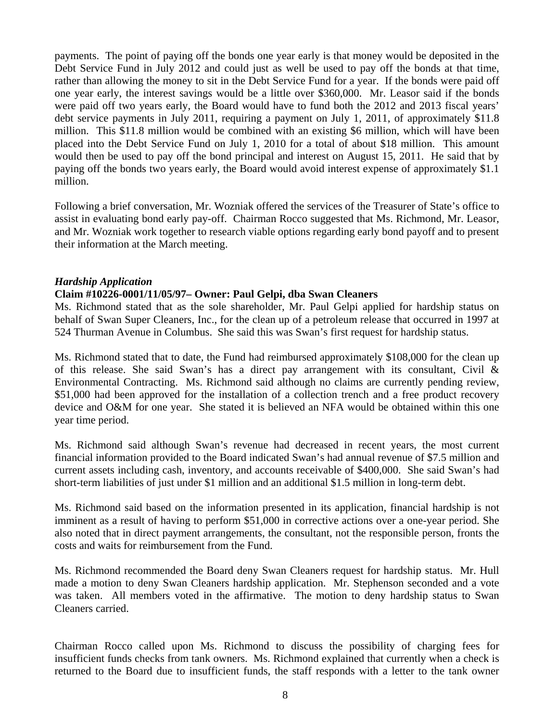payments. The point of paying off the bonds one year early is that money would be deposited in the Debt Service Fund in July 2012 and could just as well be used to pay off the bonds at that time, rather than allowing the money to sit in the Debt Service Fund for a year. If the bonds were paid off one year early, the interest savings would be a little over \$360,000. Mr. Leasor said if the bonds were paid off two years early, the Board would have to fund both the 2012 and 2013 fiscal years' debt service payments in July 2011, requiring a payment on July 1, 2011, of approximately \$11.8 million. This \$11.8 million would be combined with an existing \$6 million, which will have been placed into the Debt Service Fund on July 1, 2010 for a total of about \$18 million. This amount would then be used to pay off the bond principal and interest on August 15, 2011. He said that by paying off the bonds two years early, the Board would avoid interest expense of approximately \$1.1 million.

Following a brief conversation, Mr. Wozniak offered the services of the Treasurer of State's office to assist in evaluating bond early pay-off. Chairman Rocco suggested that Ms. Richmond, Mr. Leasor, and Mr. Wozniak work together to research viable options regarding early bond payoff and to present their information at the March meeting.

#### *Hardship Application*

#### **Claim #10226-0001/11/05/97– Owner: Paul Gelpi, dba Swan Cleaners**

Ms. Richmond stated that as the sole shareholder, Mr. Paul Gelpi applied for hardship status on behalf of Swan Super Cleaners, Inc., for the clean up of a petroleum release that occurred in 1997 at 524 Thurman Avenue in Columbus. She said this was Swan's first request for hardship status.

Ms. Richmond stated that to date, the Fund had reimbursed approximately \$108,000 for the clean up of this release. She said Swan's has a direct pay arrangement with its consultant, Civil  $\&$ Environmental Contracting. Ms. Richmond said although no claims are currently pending review, \$51,000 had been approved for the installation of a collection trench and a free product recovery device and O&M for one year. She stated it is believed an NFA would be obtained within this one year time period.

Ms. Richmond said although Swan's revenue had decreased in recent years, the most current financial information provided to the Board indicated Swan's had annual revenue of \$7.5 million and current assets including cash, inventory, and accounts receivable of \$400,000. She said Swan's had short-term liabilities of just under \$1 million and an additional \$1.5 million in long-term debt.

Ms. Richmond said based on the information presented in its application, financial hardship is not imminent as a result of having to perform \$51,000 in corrective actions over a one-year period. She also noted that in direct payment arrangements, the consultant, not the responsible person, fronts the costs and waits for reimbursement from the Fund.

Ms. Richmond recommended the Board deny Swan Cleaners request for hardship status. Mr. Hull made a motion to deny Swan Cleaners hardship application. Mr. Stephenson seconded and a vote was taken. All members voted in the affirmative. The motion to deny hardship status to Swan Cleaners carried.

Chairman Rocco called upon Ms. Richmond to discuss the possibility of charging fees for insufficient funds checks from tank owners. Ms. Richmond explained that currently when a check is returned to the Board due to insufficient funds, the staff responds with a letter to the tank owner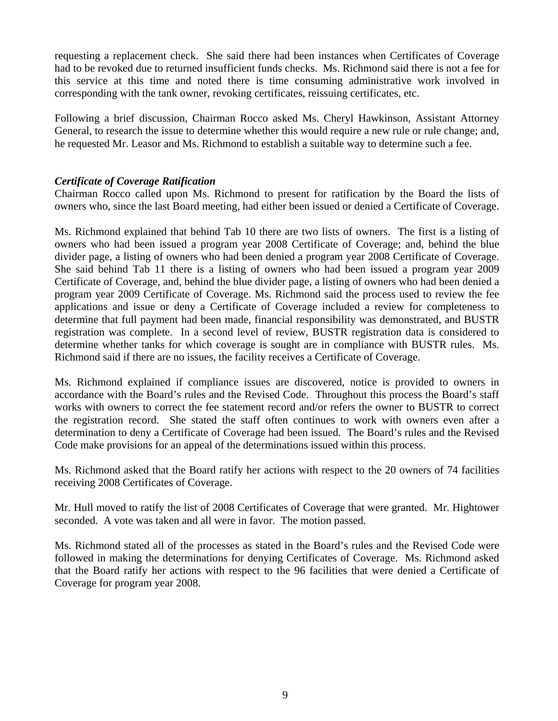requesting a replacement check. She said there had been instances when Certificates of Coverage had to be revoked due to returned insufficient funds checks. Ms. Richmond said there is not a fee for this service at this time and noted there is time consuming administrative work involved in corresponding with the tank owner, revoking certificates, reissuing certificates, etc.

he requested Mr. Leasor and Ms. Richmond to establish a suitable way to determine such a fee. Following a brief discussion, Chairman Rocco asked Ms. Cheryl Hawkinson, Assistant Attorney General, to research the issue to determine whether this would require a new rule or rule change; and,

## *Certificate of Coverage Ratification*

Chairman Rocco called upon Ms. Richmond to present for ratification by the Board the lists of owners who, since the last Board meeting, had either been issued or denied a Certificate of Coverage.

Ms. Richmond explained that behind Tab 10 there are two lists of owners. The first is a listing of owners who had been issued a program year 2008 Certificate of Coverage; and, behind the blue divider page, a listing of owners who had been denied a program year 2008 Certificate of Coverage. She said behind Tab 11 there is a listing of owners who had been issued a program year 2009 Certificate of Coverage, and, behind the blue divider page, a listing of owners who had been denied a program year 2009 Certificate of Coverage. Ms. Richmond said the process used to review the fee applications and issue or deny a Certificate of Coverage included a review for completeness to determine that full payment had been made, financial responsibility was demonstrated, and BUSTR registration was complete. In a second level of review, BUSTR registration data is considered to determine whether tanks for which coverage is sought are in compliance with BUSTR rules. Ms. Richmond said if there are no issues, the facility receives a Certificate of Coverage.

Ms. Richmond explained if compliance issues are discovered, notice is provided to owners in accordance with the Board's rules and the Revised Code. Throughout this process the Board's staff works with owners to correct the fee statement record and/or refers the owner to BUSTR to correct the registration record. She stated the staff often continues to work with owners even after a determination to deny a Certificate of Coverage had been issued. The Board's rules and the Revised Code make provisions for an appeal of the determinations issued within this process.

Ms. Richmond asked that the Board ratify her actions with respect to the 20 owners of 74 facilities receiving 2008 Certificates of Coverage.

Mr. Hull moved to ratify the list of 2008 Certificates of Coverage that were granted. Mr. Hightower seconded. A vote was taken and all were in favor. The motion passed.

Ms. Richmond stated all of the processes as stated in the Board's rules and the Revised Code were followed in making the determinations for denying Certificates of Coverage. Ms. Richmond asked that the Board ratify her actions with respect to the 96 facilities that were denied a Certificate of Coverage for program year 2008.